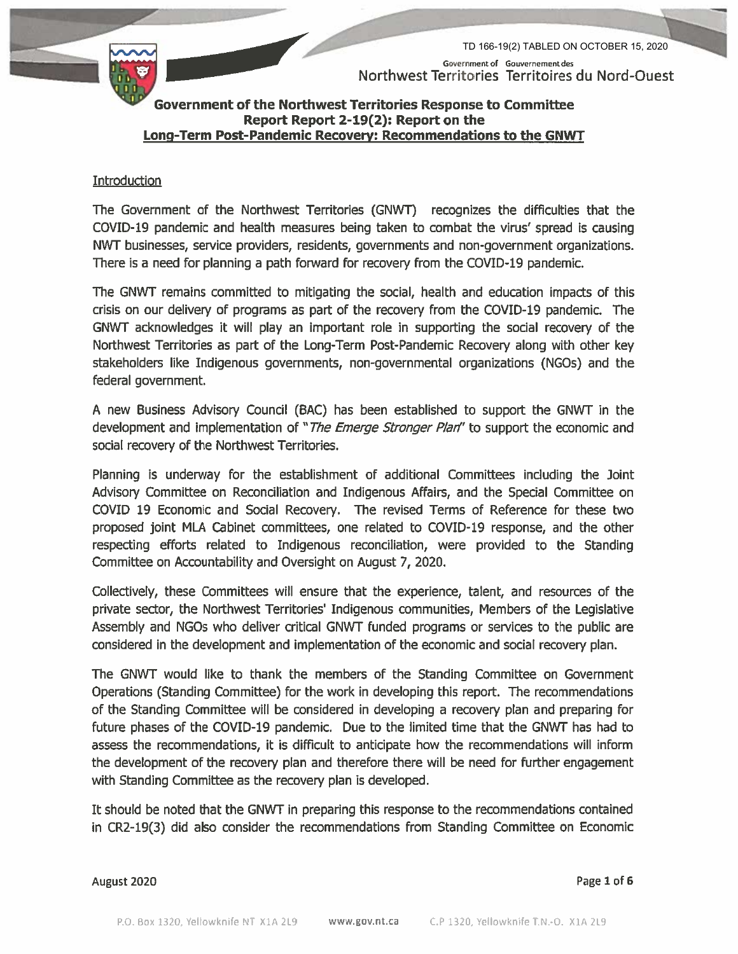Government of Gouvernement des Northwest Territories Territoires du Nord-Ouest

TD 166-19(2) TABLED ON OCTOBER 15, 2020



Government of the Northwest Territories Response to Committee Report Report 2-19(2): Report on the Long-Term Post-Pandemic Recovery: Recommendations to the GNWT

#### Introduction

The Government of the Northwest Territories (GNWT) recognizes the difficulties that the COVID-19 pandemic and health measures being taken to combat the virus' spread is causing NWT businesses, service providers, residents, governments and non-government organizations. There is a need for planning a path forward for recovery from the COVID-19 pandemic.

The GNWT remains committed to mitigating the social, health and education impacts of this crisis on our delivery of programs as part of the recovery from the COVID-19 pandemic. The GNWT acknowledges it will play an important role in supporting the social recovery of the Northwest Territories as part of the Long-Term Post-Pandemic Recovery along with other key stakeholders like Indigenous governments, non-governmental organizations (NGOs) and the federal government.

A new Business Advisory Council (BAC) has been established to support the GNWT in the development and implementation of "The Emerge Stronger Plan" to support the economic and social recovery of the Northwest Territories.

Planning is underway for the establishment of additional Committees including the Joint Advisory Committee on Reconciliation and Indigenous Affairs, and the Special Committee on COVID 19 Economic and Social Recovery. The revised Terms of Reference for these two proposed joint MLA Cabinet committees, one related to COVID-19 response, and the other respecting efforts related to Indigenous reconciliation, were provided to the Standing Committee on Accountability and Oversight on August 7, 2020.

Collectively, these Committees will ensure that the experience, talent, and resources of the private sector, the Northwest Territories' Indigenous communities, Members of the Legislative Assembly and NGOs who deliver critical GNWT funded programs or services to the public are considered in the development and implementation of the economic and social recovery plan.

The GNWT would like to thank the members of the Standing Committee on Government Operations (Standing Committee) for the work in developing this report. The recommendations of the Standing Committee will be considered in developing a recovery plan and preparing for future phases of the COVID-19 pandemic. Due to the limited time that the GNWT has had to assess the recommendations, it is difficult to anticipate how the recommendations will inform the development of the recovery plan and therefore there will be need for further engagement with Standing Committee as the recovery plan is developed.

It should be noted that the GNWT in preparing this response to the recommendations contained in CR2-19(3) did also consider the recommendations from Standing Committee on Economic

August 2020

Page 1 of 6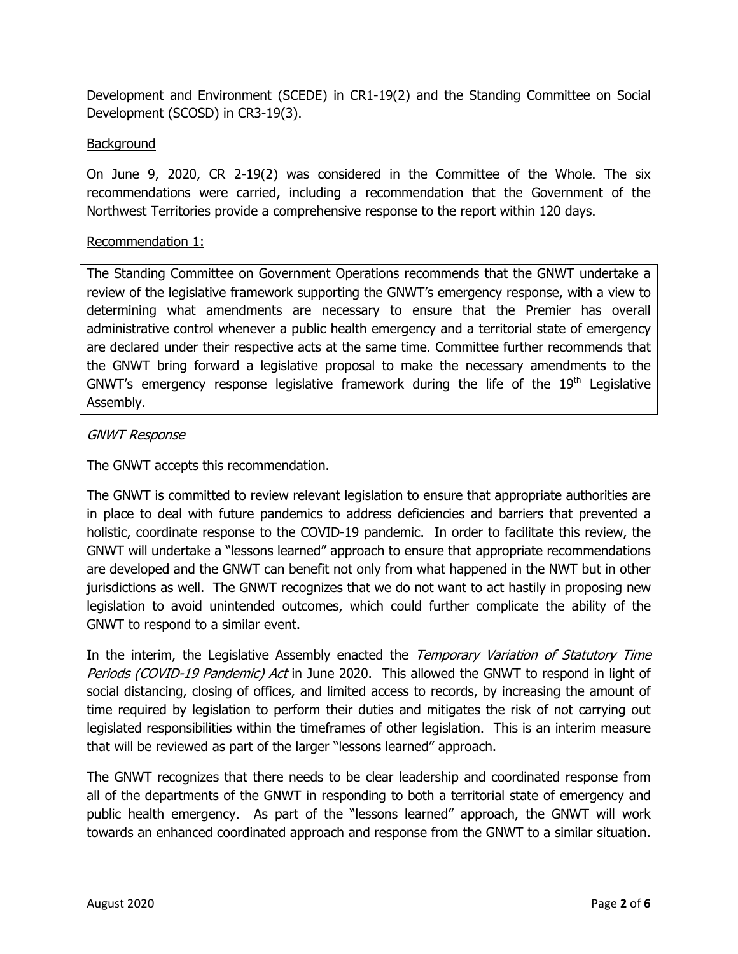Development and Environment (SCEDE) in CR1-19(2) and the Standing Committee on Social Development (SCOSD) in CR3-19(3).

# **Background**

On June 9, 2020, CR 2-19(2) was considered in the Committee of the Whole. The six recommendations were carried, including a recommendation that the Government of the Northwest Territories provide a comprehensive response to the report within 120 days.

### Recommendation 1:

The Standing Committee on Government Operations recommends that the GNWT undertake a review of the legislative framework supporting the GNWT's emergency response, with a view to determining what amendments are necessary to ensure that the Premier has overall administrative control whenever a public health emergency and a territorial state of emergency are declared under their respective acts at the same time. Committee further recommends that the GNWT bring forward a legislative proposal to make the necessary amendments to the GNWT's emergency response legislative framework during the life of the  $19<sup>th</sup>$  Legislative Assembly.

# GNWT Response

The GNWT accepts this recommendation.

The GNWT is committed to review relevant legislation to ensure that appropriate authorities are in place to deal with future pandemics to address deficiencies and barriers that prevented a holistic, coordinate response to the COVID-19 pandemic. In order to facilitate this review, the GNWT will undertake a "lessons learned" approach to ensure that appropriate recommendations are developed and the GNWT can benefit not only from what happened in the NWT but in other jurisdictions as well. The GNWT recognizes that we do not want to act hastily in proposing new legislation to avoid unintended outcomes, which could further complicate the ability of the GNWT to respond to a similar event.

In the interim, the Legislative Assembly enacted the Temporary Variation of Statutory Time Periods (COVID-19 Pandemic) Act in June 2020. This allowed the GNWT to respond in light of social distancing, closing of offices, and limited access to records, by increasing the amount of time required by legislation to perform their duties and mitigates the risk of not carrying out legislated responsibilities within the timeframes of other legislation. This is an interim measure that will be reviewed as part of the larger "lessons learned" approach.

The GNWT recognizes that there needs to be clear leadership and coordinated response from all of the departments of the GNWT in responding to both a territorial state of emergency and public health emergency. As part of the "lessons learned" approach, the GNWT will work towards an enhanced coordinated approach and response from the GNWT to a similar situation.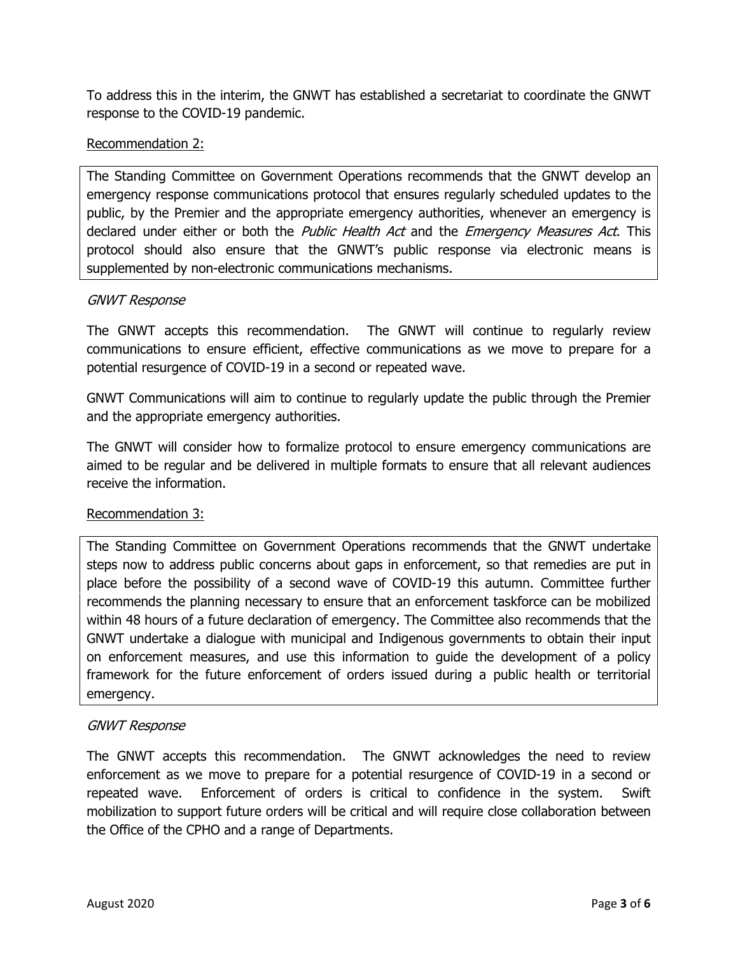To address this in the interim, the GNWT has established a secretariat to coordinate the GNWT response to the COVID-19 pandemic.

# Recommendation 2:

The Standing Committee on Government Operations recommends that the GNWT develop an emergency response communications protocol that ensures regularly scheduled updates to the public, by the Premier and the appropriate emergency authorities, whenever an emergency is declared under either or both the *Public Health Act* and the *Emergency Measures Act*. This protocol should also ensure that the GNWT's public response via electronic means is supplemented by non-electronic communications mechanisms.

# GNWT Response

The GNWT accepts this recommendation. The GNWT will continue to regularly review communications to ensure efficient, effective communications as we move to prepare for a potential resurgence of COVID-19 in a second or repeated wave.

GNWT Communications will aim to continue to regularly update the public through the Premier and the appropriate emergency authorities.

The GNWT will consider how to formalize protocol to ensure emergency communications are aimed to be regular and be delivered in multiple formats to ensure that all relevant audiences receive the information.

# Recommendation 3:

The Standing Committee on Government Operations recommends that the GNWT undertake steps now to address public concerns about gaps in enforcement, so that remedies are put in place before the possibility of a second wave of COVID-19 this autumn. Committee further recommends the planning necessary to ensure that an enforcement taskforce can be mobilized within 48 hours of a future declaration of emergency. The Committee also recommends that the GNWT undertake a dialogue with municipal and Indigenous governments to obtain their input on enforcement measures, and use this information to guide the development of a policy framework for the future enforcement of orders issued during a public health or territorial emergency.

# GNWT Response

The GNWT accepts this recommendation. The GNWT acknowledges the need to review enforcement as we move to prepare for a potential resurgence of COVID-19 in a second or repeated wave. Enforcement of orders is critical to confidence in the system. Swift mobilization to support future orders will be critical and will require close collaboration between the Office of the CPHO and a range of Departments.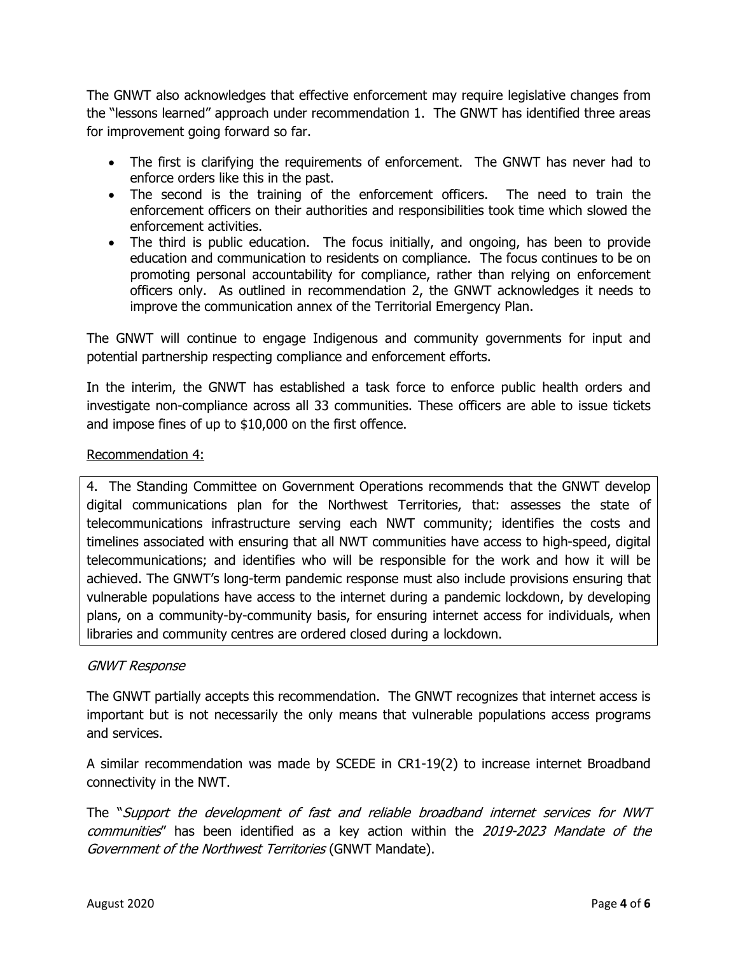The GNWT also acknowledges that effective enforcement may require legislative changes from the "lessons learned" approach under recommendation 1. The GNWT has identified three areas for improvement going forward so far.

- The first is clarifying the requirements of enforcement. The GNWT has never had to enforce orders like this in the past.
- The second is the training of the enforcement officers. The need to train the enforcement officers on their authorities and responsibilities took time which slowed the enforcement activities.
- The third is public education. The focus initially, and ongoing, has been to provide education and communication to residents on compliance. The focus continues to be on promoting personal accountability for compliance, rather than relying on enforcement officers only. As outlined in recommendation 2, the GNWT acknowledges it needs to improve the communication annex of the Territorial Emergency Plan.

The GNWT will continue to engage Indigenous and community governments for input and potential partnership respecting compliance and enforcement efforts.

In the interim, the GNWT has established a task force to enforce public health orders and investigate non-compliance across all 33 communities. These officers are able to issue tickets and impose fines of up to \$10,000 on the first offence.

# Recommendation 4:

4. The Standing Committee on Government Operations recommends that the GNWT develop digital communications plan for the Northwest Territories, that: assesses the state of telecommunications infrastructure serving each NWT community; identifies the costs and timelines associated with ensuring that all NWT communities have access to high-speed, digital telecommunications; and identifies who will be responsible for the work and how it will be achieved. The GNWT's long-term pandemic response must also include provisions ensuring that vulnerable populations have access to the internet during a pandemic lockdown, by developing plans, on a community-by-community basis, for ensuring internet access for individuals, when libraries and community centres are ordered closed during a lockdown.

### GNWT Response

The GNWT partially accepts this recommendation. The GNWT recognizes that internet access is important but is not necessarily the only means that vulnerable populations access programs and services.

A similar recommendation was made by SCEDE in CR1-19(2) to increase internet Broadband connectivity in the NWT.

The "Support the development of fast and reliable broadband internet services for NWT communities" has been identified as a key action within the 2019-2023 Mandate of the Government of the Northwest Territories (GNWT Mandate).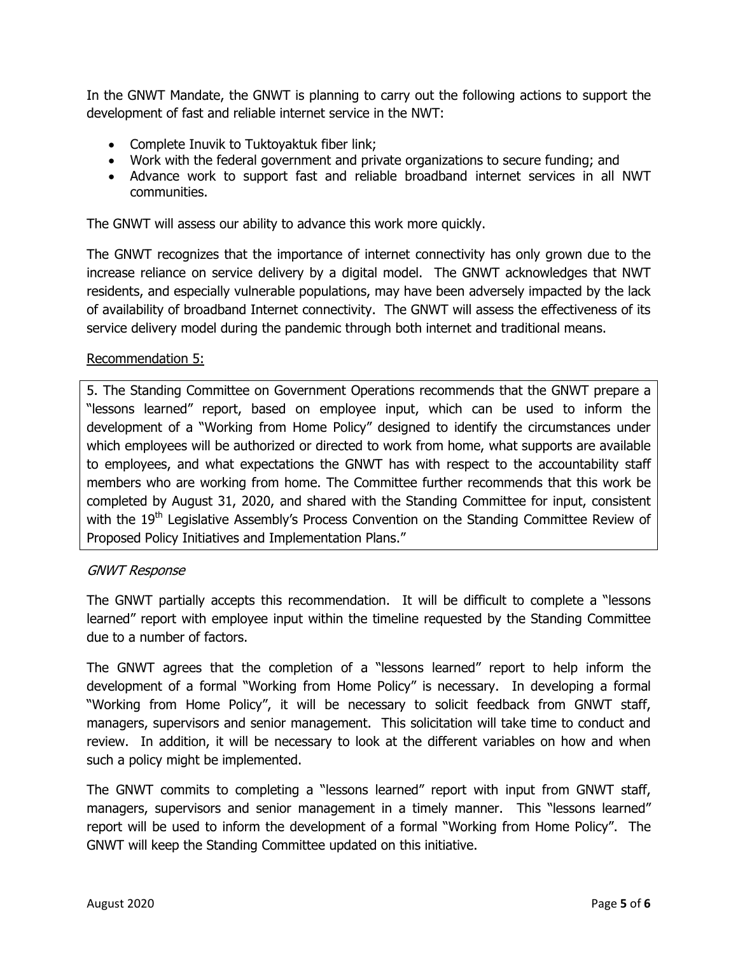In the GNWT Mandate, the GNWT is planning to carry out the following actions to support the development of fast and reliable internet service in the NWT:

- Complete Inuvik to Tuktoyaktuk fiber link;
- Work with the federal government and private organizations to secure funding; and
- Advance work to support fast and reliable broadband internet services in all NWT communities.

The GNWT will assess our ability to advance this work more quickly.

The GNWT recognizes that the importance of internet connectivity has only grown due to the increase reliance on service delivery by a digital model. The GNWT acknowledges that NWT residents, and especially vulnerable populations, may have been adversely impacted by the lack of availability of broadband Internet connectivity. The GNWT will assess the effectiveness of its service delivery model during the pandemic through both internet and traditional means.

### Recommendation 5:

5. The Standing Committee on Government Operations recommends that the GNWT prepare a "lessons learned" report, based on employee input, which can be used to inform the development of a "Working from Home Policy" designed to identify the circumstances under which employees will be authorized or directed to work from home, what supports are available to employees, and what expectations the GNWT has with respect to the accountability staff members who are working from home. The Committee further recommends that this work be completed by August 31, 2020, and shared with the Standing Committee for input, consistent with the  $19<sup>th</sup>$  Legislative Assembly's Process Convention on the Standing Committee Review of Proposed Policy Initiatives and Implementation Plans."

#### GNWT Response

The GNWT partially accepts this recommendation. It will be difficult to complete a "lessons learned" report with employee input within the timeline requested by the Standing Committee due to a number of factors.

The GNWT agrees that the completion of a "lessons learned" report to help inform the development of a formal "Working from Home Policy" is necessary. In developing a formal "Working from Home Policy", it will be necessary to solicit feedback from GNWT staff, managers, supervisors and senior management. This solicitation will take time to conduct and review. In addition, it will be necessary to look at the different variables on how and when such a policy might be implemented.

The GNWT commits to completing a "lessons learned" report with input from GNWT staff, managers, supervisors and senior management in a timely manner. This "lessons learned" report will be used to inform the development of a formal "Working from Home Policy". The GNWT will keep the Standing Committee updated on this initiative.